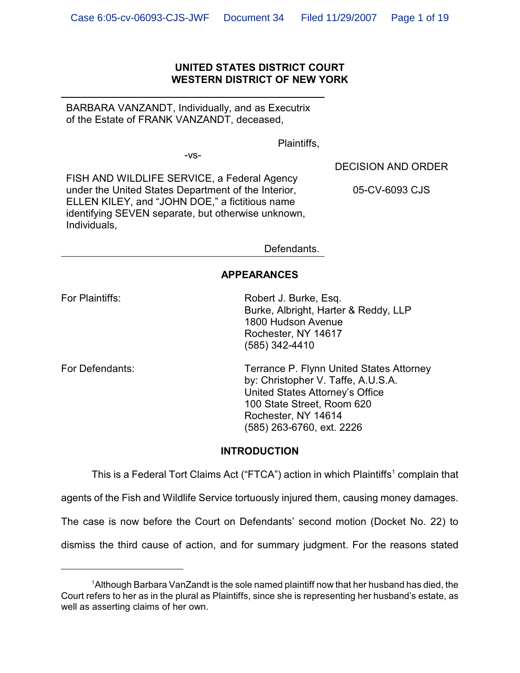#### **UNITED STATES DISTRICT COURT WESTERN DISTRICT OF NEW YORK**

BARBARA VANZANDT, Individually, and as Executrix of the Estate of FRANK VANZANDT, deceased,

Plaintiffs,

-vs-

DECISION AND ORDER

FISH AND WILDLIFE SERVICE, a Federal Agency under the United States Department of the Interior, ELLEN KILEY, and "JOHN DOE," a fictitious name identifying SEVEN separate, but otherwise unknown, Individuals,

05-CV-6093 CJS

Defendants.

#### **APPEARANCES**

For Plaintiffs: Robert J. Burke, Esq. Burke, Albright, Harter & Reddy, LLP 1800 Hudson Avenue Rochester, NY 14617 (585) 342-4410

For Defendants: Terrance P. Flynn United States Attorney by: Christopher V. Taffe, A.U.S.A. United States Attorney's Office 100 State Street, Room 620 Rochester, NY 14614 (585) 263-6760, ext. 2226

#### **INTRODUCTION**

This is a Federal Tort Claims Act ("FTCA") action in which Plaintiffs<sup>1</sup> complain that

agents of the Fish and Wildlife Service tortuously injured them, causing money damages.

The case is now before the Court on Defendants' second motion (Docket No. 22) to

dismiss the third cause of action, and for summary judgment. For the reasons stated

<sup>&</sup>lt;sup>1</sup> Although Barbara VanZandt is the sole named plaintiff now that her husband has died, the Court refers to her as in the plural as Plaintiffs, since she is representing her husband's estate, as well as asserting claims of her own.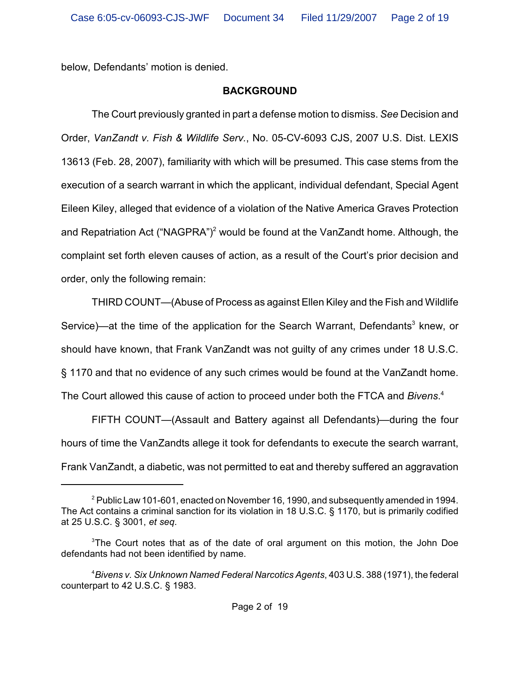below, Defendants' motion is denied.

#### **BACKGROUND**

The Court previously granted in part a defense motion to dismiss. *See* Decision and Order, *VanZandt v. Fish & Wildlife Serv.*, No. 05-CV-6093 CJS, 2007 U.S. Dist. LEXIS 13613 (Feb. 28, 2007), familiarity with which will be presumed. This case stems from the execution of a search warrant in which the applicant, individual defendant, Special Agent Eileen Kiley, alleged that evidence of a violation of the Native America Graves Protection and Repatriation Act ("NAGPRA")<sup>2</sup> would be found at the VanZandt home. Although, the complaint set forth eleven causes of action, as a result of the Court's prior decision and order, only the following remain:

THIRD COUNT—(Abuse of Process as against Ellen Kiley and the Fish and Wildlife Service)—at the time of the application for the Search Warrant, Defendants<sup>3</sup> knew, or should have known, that Frank VanZandt was not guilty of any crimes under 18 U.S.C. § 1170 and that no evidence of any such crimes would be found at the VanZandt home. The Court allowed this cause of action to proceed under both the FTCA and *Bivens*. 4

FIFTH COUNT—(Assault and Battery against all Defendants)—during the four hours of time the VanZandts allege it took for defendants to execute the search warrant, Frank VanZandt, a diabetic, was not permitted to eat and thereby suffered an aggravation

 $^{\text{2}}$  Public Law 101-601, enacted on November 16, 1990, and subsequently amended in 1994. The Act contains a criminal sanction for its violation in 18 U.S.C. § 1170, but is primarily codified at 25 U.S.C. § 3001, *et seq*.

 $3$ The Court notes that as of the date of oral argument on this motion, the John Doe defendants had not been identified by name.

*Bivens v. Six Unknown Named Federal Narcotics Agents*, 403 U.S. 388 (1971), the federal <sup>4</sup> counterpart to 42 U.S.C. § 1983.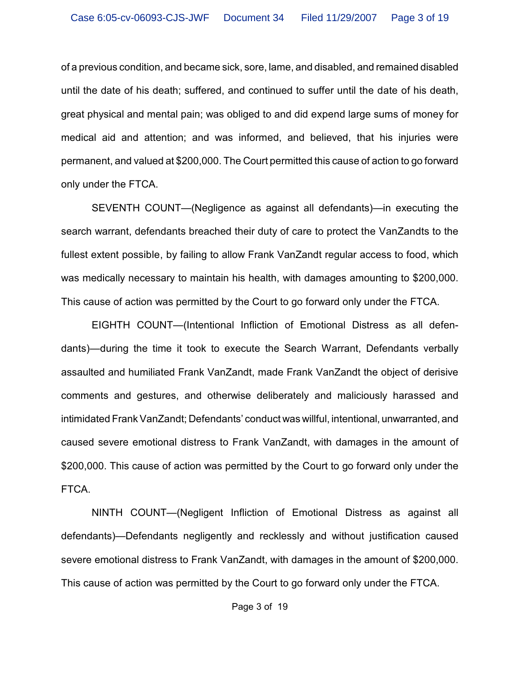of a previous condition, and became sick, sore, lame, and disabled, and remained disabled until the date of his death; suffered, and continued to suffer until the date of his death, great physical and mental pain; was obliged to and did expend large sums of money for medical aid and attention; and was informed, and believed, that his injuries were permanent, and valued at \$200,000. The Court permitted this cause of action to go forward only under the FTCA.

SEVENTH COUNT—(Negligence as against all defendants)—in executing the search warrant, defendants breached their duty of care to protect the VanZandts to the fullest extent possible, by failing to allow Frank VanZandt regular access to food, which was medically necessary to maintain his health, with damages amounting to \$200,000. This cause of action was permitted by the Court to go forward only under the FTCA.

EIGHTH COUNT—(Intentional Infliction of Emotional Distress as all defendants)—during the time it took to execute the Search Warrant, Defendants verbally assaulted and humiliated Frank VanZandt, made Frank VanZandt the object of derisive comments and gestures, and otherwise deliberately and maliciously harassed and intimidated Frank VanZandt; Defendants' conduct was willful, intentional, unwarranted, and caused severe emotional distress to Frank VanZandt, with damages in the amount of \$200,000. This cause of action was permitted by the Court to go forward only under the FTCA.

NINTH COUNT—(Negligent Infliction of Emotional Distress as against all defendants)—Defendants negligently and recklessly and without justification caused severe emotional distress to Frank VanZandt, with damages in the amount of \$200,000. This cause of action was permitted by the Court to go forward only under the FTCA.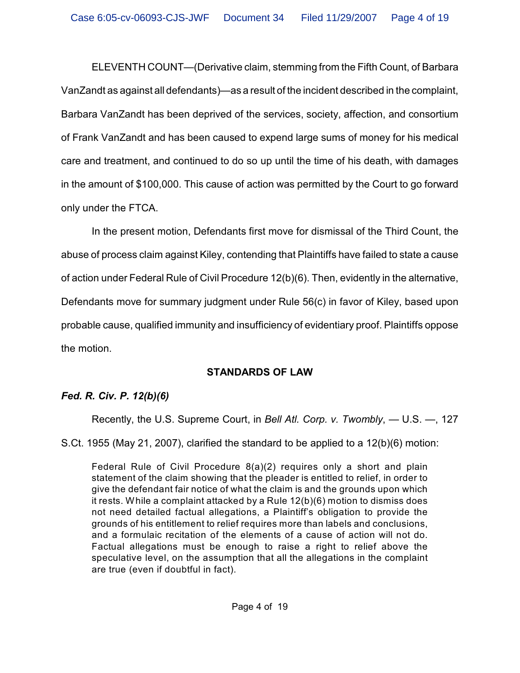ELEVENTH COUNT—(Derivative claim, stemming from the Fifth Count, of Barbara VanZandt as against all defendants)—as a result of the incident described in the complaint, Barbara VanZandt has been deprived of the services, society, affection, and consortium of Frank VanZandt and has been caused to expend large sums of money for his medical care and treatment, and continued to do so up until the time of his death, with damages in the amount of \$100,000. This cause of action was permitted by the Court to go forward only under the FTCA.

In the present motion, Defendants first move for dismissal of the Third Count, the abuse of process claim against Kiley, contending that Plaintiffs have failed to state a cause of action under Federal Rule of Civil Procedure 12(b)(6). Then, evidently in the alternative, Defendants move for summary judgment under Rule 56(c) in favor of Kiley, based upon probable cause, qualified immunity and insufficiency of evidentiary proof. Plaintiffs oppose the motion.

# **STANDARDS OF LAW**

# *Fed. R. Civ. P. 12(b)(6)*

Recently, the U.S. Supreme Court, in *Bell Atl. Corp. v. Twombly*, — U.S. —, 127

S.Ct. 1955 (May 21, 2007), clarified the standard to be applied to a 12(b)(6) motion:

Federal Rule of Civil Procedure 8(a)(2) requires only a short and plain statement of the claim showing that the pleader is entitled to relief, in order to give the defendant fair notice of what the claim is and the grounds upon which it rests. While a complaint attacked by a Rule 12(b)(6) motion to dismiss does not need detailed factual allegations, a Plaintiff's obligation to provide the grounds of his entitlement to relief requires more than labels and conclusions, and a formulaic recitation of the elements of a cause of action will not do. Factual allegations must be enough to raise a right to relief above the speculative level, on the assumption that all the allegations in the complaint are true (even if doubtful in fact).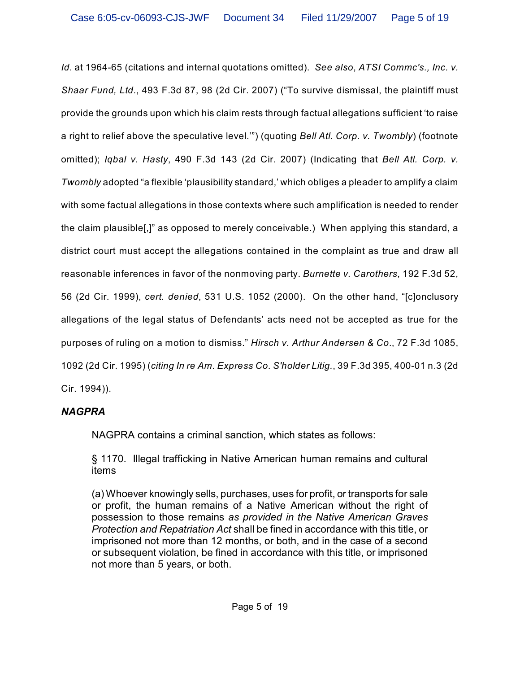*Id*. at 1964-65 (citations and internal quotations omitted). *See also*, *ATSI Commc's., Inc. v. Shaar Fund, Ltd.*, 493 F.3d 87, 98 (2d Cir. 2007) ("To survive dismissal, the plaintiff must provide the grounds upon which his claim rests through factual allegations sufficient 'to raise a right to relief above the speculative level.'") (quoting *Bell Atl. Corp. v. Twombly*) (footnote omitted); *Iqbal v. Hasty*, 490 F.3d 143 (2d Cir. 2007) (Indicating that *Bell Atl. Corp. v. Twombly* adopted "a flexible 'plausibility standard,' which obliges a pleader to amplify a claim with some factual allegations in those contexts where such amplification is needed to render the claim plausible[,]" as opposed to merely conceivable.) When applying this standard, a district court must accept the allegations contained in the complaint as true and draw all reasonable inferences in favor of the nonmoving party. *Burnette v. Carothers*, 192 F.3d 52, 56 (2d Cir. 1999), *cert. denied*, 531 U.S. 1052 (2000). On the other hand, "[c]onclusory allegations of the legal status of Defendants' acts need not be accepted as true for the purposes of ruling on a motion to dismiss." *Hirsch v. Arthur Andersen & Co*., 72 F.3d 1085, 1092 (2d Cir. 1995) (*citing In re Am. Express Co. S'holder Litig.*, 39 F.3d 395, 400-01 n.3 (2d Cir. 1994)).

# *NAGPRA*

NAGPRA contains a criminal sanction, which states as follows:

§ 1170. Illegal trafficking in Native American human remains and cultural items

(a) Whoever knowingly sells, purchases, uses for profit, or transports for sale or profit, the human remains of a Native American without the right of possession to those remains *as provided in the Native American Graves Protection and Repatriation Act* shall be fined in accordance with this title, or imprisoned not more than 12 months, or both, and in the case of a second or subsequent violation, be fined in accordance with this title, or imprisoned not more than 5 years, or both.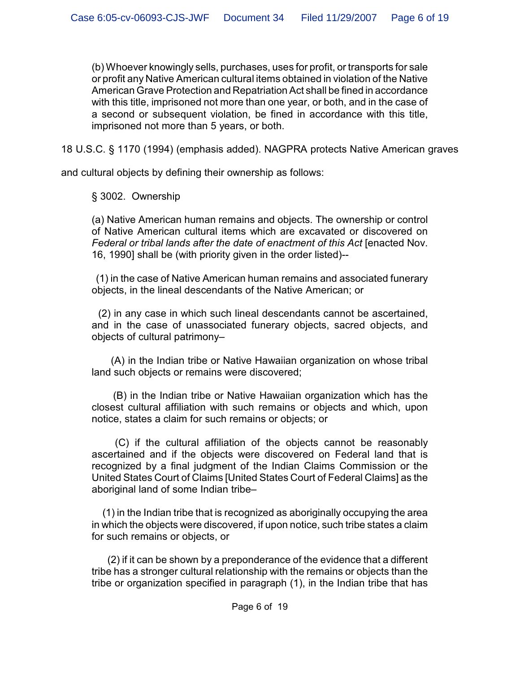(b) Whoever knowingly sells, purchases, uses for profit, or transports for sale or profit any Native American cultural items obtained in violation of the Native American Grave Protection and Repatriation Act shall be fined in accordance with this title, imprisoned not more than one year, or both, and in the case of a second or subsequent violation, be fined in accordance with this title, imprisoned not more than 5 years, or both.

18 U.S.C. § 1170 (1994) (emphasis added). NAGPRA protects Native American graves

and cultural objects by defining their ownership as follows:

§ 3002. Ownership

(a) Native American human remains and objects. The ownership or control of Native American cultural items which are excavated or discovered on *Federal or tribal lands after the date of enactment of this Act* [enacted Nov. 16, 1990] shall be (with priority given in the order listed)--

 (1) in the case of Native American human remains and associated funerary objects, in the lineal descendants of the Native American; or

 (2) in any case in which such lineal descendants cannot be ascertained, and in the case of unassociated funerary objects, sacred objects, and objects of cultural patrimony–

 (A) in the Indian tribe or Native Hawaiian organization on whose tribal land such objects or remains were discovered;

 (B) in the Indian tribe or Native Hawaiian organization which has the closest cultural affiliation with such remains or objects and which, upon notice, states a claim for such remains or objects; or

 (C) if the cultural affiliation of the objects cannot be reasonably ascertained and if the objects were discovered on Federal land that is recognized by a final judgment of the Indian Claims Commission or the United States Court of Claims [United States Court of Federal Claims] as the aboriginal land of some Indian tribe–

 (1) in the Indian tribe that is recognized as aboriginally occupying the area in which the objects were discovered, if upon notice, such tribe states a claim for such remains or objects, or

 (2) if it can be shown by a preponderance of the evidence that a different tribe has a stronger cultural relationship with the remains or objects than the tribe or organization specified in paragraph (1), in the Indian tribe that has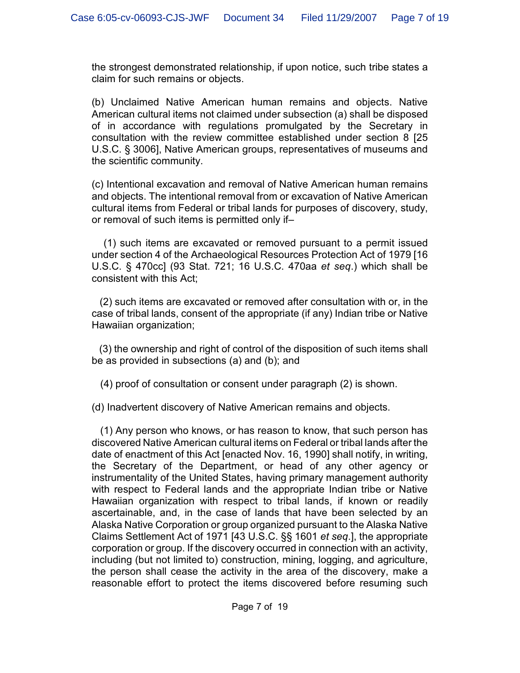the strongest demonstrated relationship, if upon notice, such tribe states a claim for such remains or objects.

(b) Unclaimed Native American human remains and objects. Native American cultural items not claimed under subsection (a) shall be disposed of in accordance with regulations promulgated by the Secretary in consultation with the review committee established under section 8 [25 U.S.C. § 3006], Native American groups, representatives of museums and the scientific community.

(c) Intentional excavation and removal of Native American human remains and objects. The intentional removal from or excavation of Native American cultural items from Federal or tribal lands for purposes of discovery, study, or removal of such items is permitted only if–

 (1) such items are excavated or removed pursuant to a permit issued under section 4 of the Archaeological Resources Protection Act of 1979 [16 U.S.C. § 470cc] (93 Stat. 721; 16 U.S.C. 470aa *et seq*.) which shall be consistent with this Act;

 (2) such items are excavated or removed after consultation with or, in the case of tribal lands, consent of the appropriate (if any) Indian tribe or Native Hawaiian organization;

 (3) the ownership and right of control of the disposition of such items shall be as provided in subsections (a) and (b); and

(4) proof of consultation or consent under paragraph (2) is shown.

(d) Inadvertent discovery of Native American remains and objects.

 (1) Any person who knows, or has reason to know, that such person has discovered Native American cultural items on Federal or tribal lands after the date of enactment of this Act [enacted Nov. 16, 1990] shall notify, in writing, the Secretary of the Department, or head of any other agency or instrumentality of the United States, having primary management authority with respect to Federal lands and the appropriate Indian tribe or Native Hawaiian organization with respect to tribal lands, if known or readily ascertainable, and, in the case of lands that have been selected by an Alaska Native Corporation or group organized pursuant to the Alaska Native Claims Settlement Act of 1971 [43 U.S.C. §§ 1601 *et seq*.], the appropriate corporation or group. If the discovery occurred in connection with an activity, including (but not limited to) construction, mining, logging, and agriculture, the person shall cease the activity in the area of the discovery, make a reasonable effort to protect the items discovered before resuming such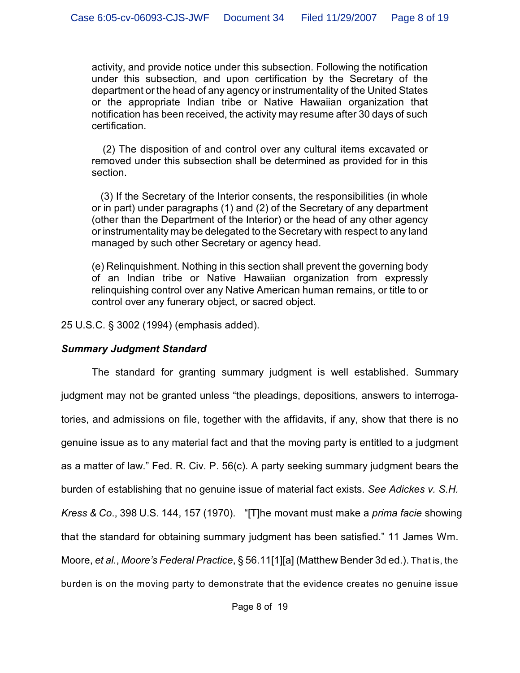activity, and provide notice under this subsection. Following the notification under this subsection, and upon certification by the Secretary of the department or the head of any agency or instrumentality of the United States or the appropriate Indian tribe or Native Hawaiian organization that notification has been received, the activity may resume after 30 days of such certification.

 (2) The disposition of and control over any cultural items excavated or removed under this subsection shall be determined as provided for in this section.

 (3) If the Secretary of the Interior consents, the responsibilities (in whole or in part) under paragraphs (1) and (2) of the Secretary of any department (other than the Department of the Interior) or the head of any other agency or instrumentality may be delegated to the Secretary with respect to any land managed by such other Secretary or agency head.

(e) Relinquishment. Nothing in this section shall prevent the governing body of an Indian tribe or Native Hawaiian organization from expressly relinquishing control over any Native American human remains, or title to or control over any funerary object, or sacred object.

25 U.S.C. § 3002 (1994) (emphasis added).

### *Summary Judgment Standard*

The standard for granting summary judgment is well established. Summary judgment may not be granted unless "the pleadings, depositions, answers to interrogatories, and admissions on file, together with the affidavits, if any, show that there is no genuine issue as to any material fact and that the moving party is entitled to a judgment as a matter of law." Fed. R. Civ. P. 56(c). A party seeking summary judgment bears the burden of establishing that no genuine issue of material fact exists. *See Adickes v. S.H. Kress & Co*., 398 U.S. 144, 157 (1970). "[T]he movant must make a *prima facie* showing that the standard for obtaining summary judgment has been satisfied." 11 James Wm. Moore, *et al.*, *Moore's Federal Practice*, § 56.11[1][a] (Matthew Bender 3d ed.). That is, the burden is on the moving party to demonstrate that the evidence creates no genuine issue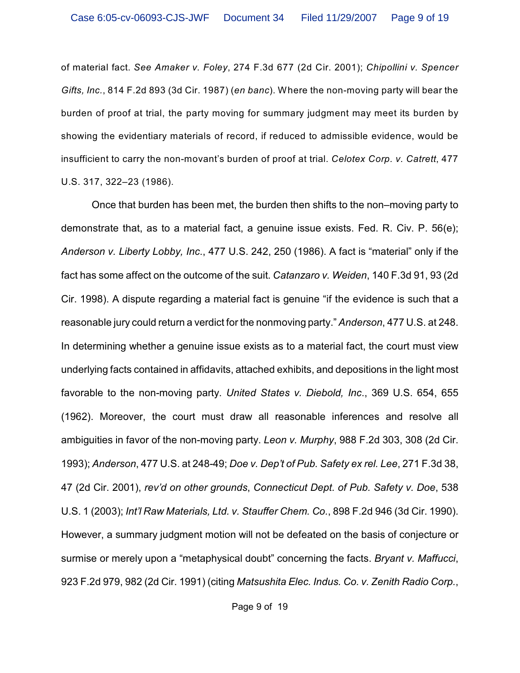of material fact. *See Amaker v. Foley*, 274 F.3d 677 (2d Cir. 2001); *Chipollini v. Spencer Gifts, Inc.*, 814 F.2d 893 (3d Cir. 1987) (*en banc*). Where the non-moving party will bear the burden of proof at trial, the party moving for summary judgment may meet its burden by showing the evidentiary materials of record, if reduced to admissible evidence, would be insufficient to carry the non-movant's burden of proof at trial. *Celotex Corp. v. Catrett*, 477 U.S. 317, 322–23 (1986).

Once that burden has been met, the burden then shifts to the non–moving party to demonstrate that, as to a material fact, a genuine issue exists. Fed. R. Civ. P. 56(e); *Anderson v. Liberty Lobby, Inc*., 477 U.S. 242, 250 (1986). A fact is "material" only if the fact has some affect on the outcome of the suit. *Catanzaro v. Weiden*, 140 F.3d 91, 93 (2d Cir. 1998). A dispute regarding a material fact is genuine "if the evidence is such that a reasonable jury could return a verdict for the nonmoving party." *Anderson*, 477 U.S. at 248. In determining whether a genuine issue exists as to a material fact, the court must view underlying facts contained in affidavits, attached exhibits, and depositions in the light most favorable to the non-moving party. *United States v. Diebold, Inc*., 369 U.S. 654, 655 (1962). Moreover, the court must draw all reasonable inferences and resolve all ambiguities in favor of the non-moving party. *Leon v. Murphy*, 988 F.2d 303, 308 (2d Cir. 1993); *Anderson*, 477 U.S. at 248-49; *Doe v. Dep't of Pub. Safety ex rel. Lee*, 271 F.3d 38, 47 (2d Cir. 2001), *rev'd on other grounds*, *Connecticut Dept. of Pub. Safety v. Doe*, 538 U.S. 1 (2003); *Int'l Raw Materials, Ltd. v. Stauffer Chem. Co.*, 898 F.2d 946 (3d Cir. 1990). However, a summary judgment motion will not be defeated on the basis of conjecture or surmise or merely upon a "metaphysical doubt" concerning the facts. *Bryant v. Maffucci*, 923 F.2d 979, 982 (2d Cir. 1991) (citing *Matsushita Elec. Indus. Co. v. Zenith Radio Corp.*,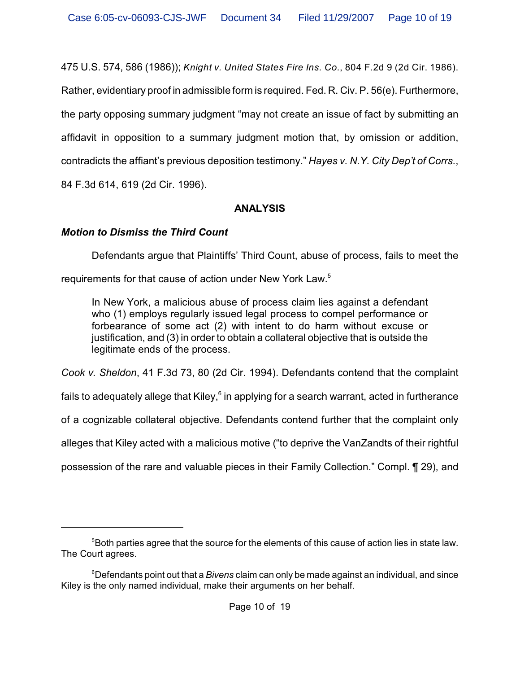475 U.S. 574, 586 (1986)); *Knight v. United States Fire Ins. Co.*, 804 F.2d 9 (2d Cir. 1986).

Rather, evidentiary proof in admissible form is required. Fed. R. Civ. P. 56(e). Furthermore,

the party opposing summary judgment "may not create an issue of fact by submitting an

affidavit in opposition to a summary judgment motion that, by omission or addition,

contradicts the affiant's previous deposition testimony." *Hayes v. N.Y. City Dep't of Corrs.*,

84 F.3d 614, 619 (2d Cir. 1996).

### **ANALYSIS**

# *Motion to Dismiss the Third Count*

Defendants argue that Plaintiffs' Third Count, abuse of process, fails to meet the

requirements for that cause of action under New York Law.<sup>5</sup>

In New York, a malicious abuse of process claim lies against a defendant who (1) employs regularly issued legal process to compel performance or forbearance of some act (2) with intent to do harm without excuse or justification, and (3) in order to obtain a collateral objective that is outside the legitimate ends of the process.

*Cook v. Sheldon*, 41 F.3d 73, 80 (2d Cir. 1994). Defendants contend that the complaint

fails to adequately allege that Kiley, $6$  in applying for a search warrant, acted in furtherance

of a cognizable collateral objective. Defendants contend further that the complaint only

alleges that Kiley acted with a malicious motive ("to deprive the VanZandts of their rightful

possession of the rare and valuable pieces in their Family Collection." Compl. ¶ 29), and

<sup>&</sup>lt;sup>5</sup> Both parties agree that the source for the elements of this cause of action lies in state law. The Court agrees.

Defendants point out that a *Bivens* claim can only be made against an individual, and since <sup>6</sup> Kiley is the only named individual, make their arguments on her behalf.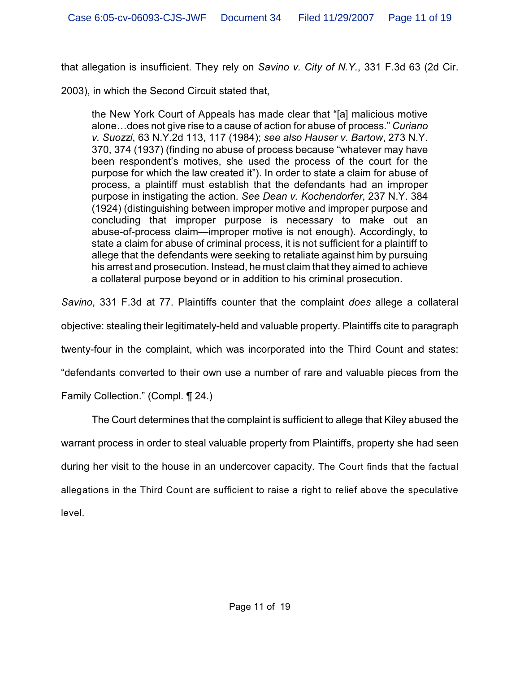that allegation is insufficient. They rely on *Savino v. City of N.Y.*, 331 F.3d 63 (2d Cir.

2003), in which the Second Circuit stated that,

the New York Court of Appeals has made clear that "[a] malicious motive alone…does not give rise to a cause of action for abuse of process." *Curiano v. Suozzi*, 63 N.Y.2d 113, 117 (1984); *see also Hauser v. Bartow*, 273 N.Y. 370, 374 (1937) (finding no abuse of process because "whatever may have been respondent's motives, she used the process of the court for the purpose for which the law created it"). In order to state a claim for abuse of process, a plaintiff must establish that the defendants had an improper purpose in instigating the action. *See Dean v. Kochendorfer*, 237 N.Y. 384 (1924) (distinguishing between improper motive and improper purpose and concluding that improper purpose is necessary to make out an abuse-of-process claim—improper motive is not enough). Accordingly, to state a claim for abuse of criminal process, it is not sufficient for a plaintiff to allege that the defendants were seeking to retaliate against him by pursuing his arrest and prosecution. Instead, he must claim that they aimed to achieve a collateral purpose beyond or in addition to his criminal prosecution.

*Savino*, 331 F.3d at 77. Plaintiffs counter that the complaint *does* allege a collateral

objective: stealing their legitimately-held and valuable property. Plaintiffs cite to paragraph

twenty-four in the complaint, which was incorporated into the Third Count and states:

"defendants converted to their own use a number of rare and valuable pieces from the

Family Collection." (Compl. ¶ 24.)

The Court determines that the complaint is sufficient to allege that Kiley abused the warrant process in order to steal valuable property from Plaintiffs, property she had seen during her visit to the house in an undercover capacity. The Court finds that the factual allegations in the Third Count are sufficient to raise a right to relief above the speculative level.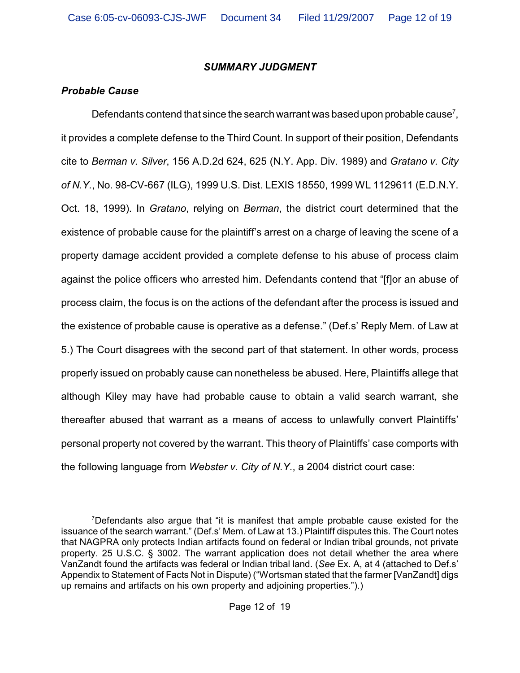### *SUMMARY JUDGMENT*

## *Probable Cause*

Defendants contend that since the search warrant was based upon probable cause<sup>7</sup>, it provides a complete defense to the Third Count. In support of their position, Defendants cite to *Berman v. Silver*, 156 A.D.2d 624, 625 (N.Y. App. Div. 1989) and *Gratano v. City of N.Y.*, No. 98-CV-667 (ILG), 1999 U.S. Dist. LEXIS 18550, 1999 WL 1129611 (E.D.N.Y. Oct. 18, 1999). In *Gratano*, relying on *Berman*, the district court determined that the existence of probable cause for the plaintiff's arrest on a charge of leaving the scene of a property damage accident provided a complete defense to his abuse of process claim against the police officers who arrested him. Defendants contend that "[f]or an abuse of process claim, the focus is on the actions of the defendant after the process is issued and the existence of probable cause is operative as a defense." (Def.s' Reply Mem. of Law at 5.) The Court disagrees with the second part of that statement. In other words, process properly issued on probably cause can nonetheless be abused. Here, Plaintiffs allege that although Kiley may have had probable cause to obtain a valid search warrant, she thereafter abused that warrant as a means of access to unlawfully convert Plaintiffs' personal property not covered by the warrant. This theory of Plaintiffs' case comports with the following language from *Webster v. City of N.Y.*, a 2004 district court case:

 $7$ Defendants also argue that "it is manifest that ample probable cause existed for the issuance of the search warrant." (Def.s' Mem. of Law at 13.) Plaintiff disputes this. The Court notes that NAGPRA only protects Indian artifacts found on federal or Indian tribal grounds, not private property. 25 U.S.C. § 3002. The warrant application does not detail whether the area where VanZandt found the artifacts was federal or Indian tribal land. (*See* Ex. A, at 4 (attached to Def.s' Appendix to Statement of Facts Not in Dispute) ("Wortsman stated that the farmer [VanZandt] digs up remains and artifacts on his own property and adjoining properties.").)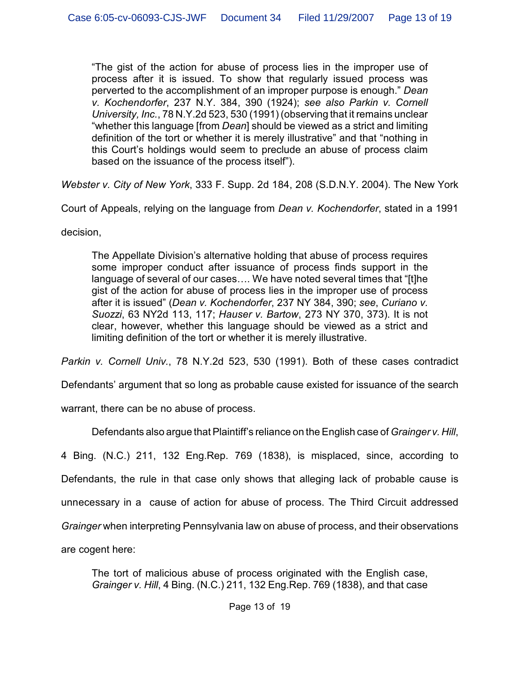"The gist of the action for abuse of process lies in the improper use of process after it is issued. To show that regularly issued process was perverted to the accomplishment of an improper purpose is enough." *Dean v. Kochendorfer*, 237 N.Y. 384, 390 (1924); *see also Parkin v. Cornell University, Inc.*, 78 N.Y.2d 523, 530 (1991) (observing that it remains unclear "whether this language [from *Dean*] should be viewed as a strict and limiting definition of the tort or whether it is merely illustrative" and that "nothing in this Court's holdings would seem to preclude an abuse of process claim based on the issuance of the process itself").

*Webster v. City of New York*, 333 F. Supp. 2d 184, 208 (S.D.N.Y. 2004). The New York

Court of Appeals, relying on the language from *Dean v. Kochendorfer*, stated in a 1991

decision,

The Appellate Division's alternative holding that abuse of process requires some improper conduct after issuance of process finds support in the language of several of our cases…. We have noted several times that "[t]he gist of the action for abuse of process lies in the improper use of process after it is issued" (*Dean v. Kochendorfer*, 237 NY 384, 390; *see*, *Curiano v. Suozzi*, 63 NY2d 113, 117; *Hauser v. Bartow*, 273 NY 370, 373). It is not clear, however, whether this language should be viewed as a strict and limiting definition of the tort or whether it is merely illustrative.

*Parkin v. Cornell Univ.*, 78 N.Y.2d 523, 530 (1991). Both of these cases contradict

Defendants' argument that so long as probable cause existed for issuance of the search

warrant, there can be no abuse of process.

Defendants also argue that Plaintiff's reliance on the English case of *Grainger v. Hill*,

4 Bing. (N.C.) 211, 132 Eng.Rep. 769 (1838), is misplaced, since, according to Defendants, the rule in that case only shows that alleging lack of probable cause is unnecessary in a cause of action for abuse of process. The Third Circuit addressed *Grainger* when interpreting Pennsylvania law on abuse of process, and their observations are cogent here:

The tort of malicious abuse of process originated with the English case, *Grainger v. Hill*, 4 Bing. (N.C.) 211, 132 Eng.Rep. 769 (1838), and that case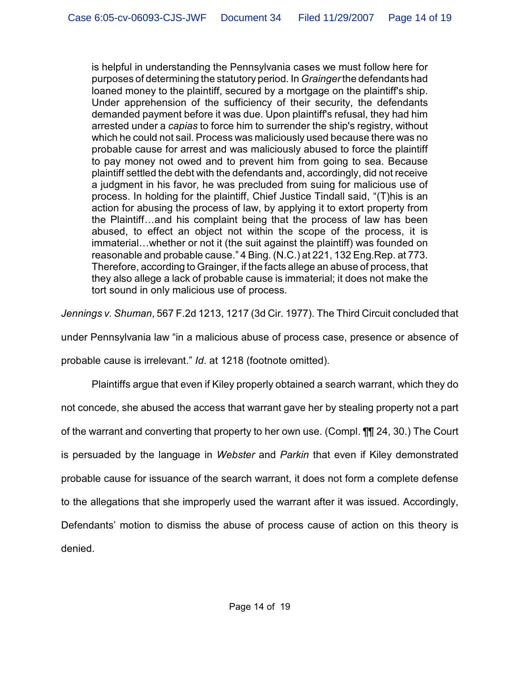is helpful in understanding the Pennsylvania cases we must follow here for purposes of determining the statutory period. In *Grainger* the defendants had loaned money to the plaintiff, secured by a mortgage on the plaintiff's ship. Under apprehension of the sufficiency of their security, the defendants demanded payment before it was due. Upon plaintiff's refusal, they had him arrested under a *capias* to force him to surrender the ship's registry, without which he could not sail. Process was maliciously used because there was no probable cause for arrest and was maliciously abused to force the plaintiff to pay money not owed and to prevent him from going to sea. Because plaintiff settled the debt with the defendants and, accordingly, did not receive a judgment in his favor, he was precluded from suing for malicious use of process. In holding for the plaintiff, Chief Justice Tindall said, "(T)his is an action for abusing the process of law, by applying it to extort property from the Plaintiff…and his complaint being that the process of law has been abused, to effect an object not within the scope of the process, it is immaterial…whether or not it (the suit against the plaintiff) was founded on reasonable and probable cause." 4 Bing. (N.C.) at 221, 132 Eng.Rep. at 773. Therefore, according to Grainger, if the facts allege an abuse of process, that they also allege a lack of probable cause is immaterial; it does not make the tort sound in only malicious use of process.

*Jennings v. Shuman*, 567 F.2d 1213, 1217 (3d Cir. 1977). The Third Circuit concluded that

under Pennsylvania law "in a malicious abuse of process case, presence or absence of

probable cause is irrelevant." *Id*. at 1218 (footnote omitted).

Plaintiffs argue that even if Kiley properly obtained a search warrant, which they do not concede, she abused the access that warrant gave her by stealing property not a part of the warrant and converting that property to her own use. (Compl. ¶¶ 24, 30.) The Court is persuaded by the language in *Webster* and *Parkin* that even if Kiley demonstrated probable cause for issuance of the search warrant, it does not form a complete defense to the allegations that she improperly used the warrant after it was issued. Accordingly, Defendants' motion to dismiss the abuse of process cause of action on this theory is denied.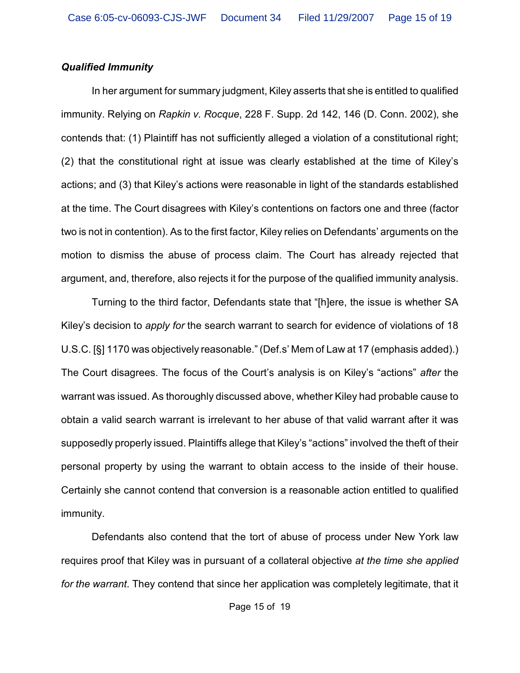#### *Qualified Immunity*

In her argument for summary judgment, Kiley asserts that she is entitled to qualified immunity. Relying on *Rapkin v. Rocque*, 228 F. Supp. 2d 142, 146 (D. Conn. 2002), she contends that: (1) Plaintiff has not sufficiently alleged a violation of a constitutional right; (2) that the constitutional right at issue was clearly established at the time of Kiley's actions; and (3) that Kiley's actions were reasonable in light of the standards established at the time. The Court disagrees with Kiley's contentions on factors one and three (factor two is not in contention). As to the first factor, Kiley relies on Defendants' arguments on the motion to dismiss the abuse of process claim. The Court has already rejected that argument, and, therefore, also rejects it for the purpose of the qualified immunity analysis.

Turning to the third factor, Defendants state that "[h]ere, the issue is whether SA Kiley's decision to *apply for* the search warrant to search for evidence of violations of 18 U.S.C. [§] 1170 was objectively reasonable." (Def.s' Mem of Law at 17 (emphasis added).) The Court disagrees. The focus of the Court's analysis is on Kiley's "actions" *after* the warrant was issued. As thoroughly discussed above, whether Kiley had probable cause to obtain a valid search warrant is irrelevant to her abuse of that valid warrant after it was supposedly properly issued. Plaintiffs allege that Kiley's "actions" involved the theft of their personal property by using the warrant to obtain access to the inside of their house. Certainly she cannot contend that conversion is a reasonable action entitled to qualified immunity.

Defendants also contend that the tort of abuse of process under New York law requires proof that Kiley was in pursuant of a collateral objective *at the time she applied for the warrant*. They contend that since her application was completely legitimate, that it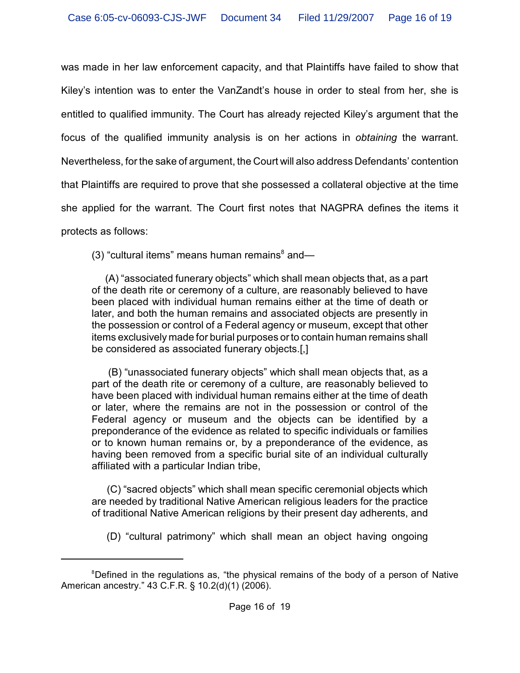was made in her law enforcement capacity, and that Plaintiffs have failed to show that Kiley's intention was to enter the VanZandt's house in order to steal from her, she is entitled to qualified immunity. The Court has already rejected Kiley's argument that the focus of the qualified immunity analysis is on her actions in *obtaining* the warrant. Nevertheless, for the sake of argument, the Court will also address Defendants' contention that Plaintiffs are required to prove that she possessed a collateral objective at the time she applied for the warrant. The Court first notes that NAGPRA defines the items it protects as follows:

(3) "cultural items" means human remains $^8$  and—

 (A) "associated funerary objects" which shall mean objects that, as a part of the death rite or ceremony of a culture, are reasonably believed to have been placed with individual human remains either at the time of death or later, and both the human remains and associated objects are presently in the possession or control of a Federal agency or museum, except that other items exclusively made for burial purposes or to contain human remains shall be considered as associated funerary objects.[,]

 (B) "unassociated funerary objects" which shall mean objects that, as a part of the death rite or ceremony of a culture, are reasonably believed to have been placed with individual human remains either at the time of death or later, where the remains are not in the possession or control of the Federal agency or museum and the objects can be identified by a preponderance of the evidence as related to specific individuals or families or to known human remains or, by a preponderance of the evidence, as having been removed from a specific burial site of an individual culturally affiliated with a particular Indian tribe,

 (C) "sacred objects" which shall mean specific ceremonial objects which are needed by traditional Native American religious leaders for the practice of traditional Native American religions by their present day adherents, and

(D) "cultural patrimony" which shall mean an object having ongoing

<sup>&</sup>lt;sup>8</sup>Defined in the regulations as, "the physical remains of the body of a person of Native American ancestry." 43 C.F.R. § 10.2(d)(1) (2006).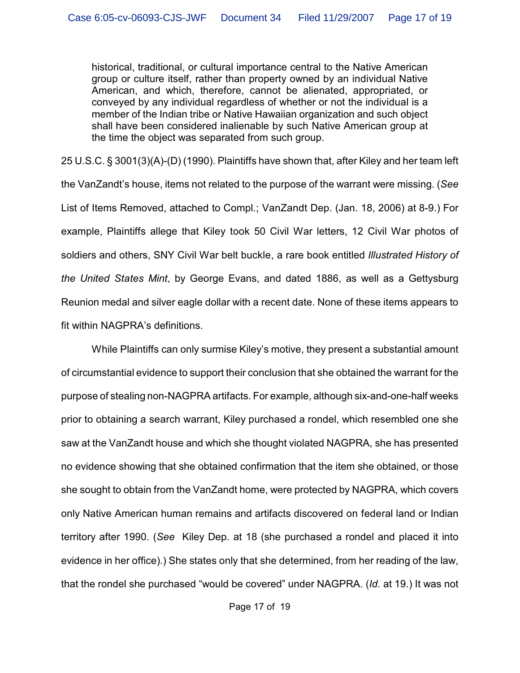historical, traditional, or cultural importance central to the Native American group or culture itself, rather than property owned by an individual Native American, and which, therefore, cannot be alienated, appropriated, or conveyed by any individual regardless of whether or not the individual is a member of the Indian tribe or Native Hawaiian organization and such object shall have been considered inalienable by such Native American group at the time the object was separated from such group.

25 U.S.C. § 3001(3)(A)-(D) (1990). Plaintiffs have shown that, after Kiley and her team left the VanZandt's house, items not related to the purpose of the warrant were missing. (*See* List of Items Removed, attached to Compl.; VanZandt Dep. (Jan. 18, 2006) at 8-9.) For example, Plaintiffs allege that Kiley took 50 Civil War letters, 12 Civil War photos of soldiers and others, SNY Civil War belt buckle, a rare book entitled *Illustrated History of the United States Mint*, by George Evans, and dated 1886, as well as a Gettysburg Reunion medal and silver eagle dollar with a recent date. None of these items appears to fit within NAGPRA's definitions.

While Plaintiffs can only surmise Kiley's motive, they present a substantial amount of circumstantial evidence to support their conclusion that she obtained the warrant for the purpose of stealing non-NAGPRA artifacts. For example, although six-and-one-half weeks prior to obtaining a search warrant, Kiley purchased a rondel, which resembled one she saw at the VanZandt house and which she thought violated NAGPRA, she has presented no evidence showing that she obtained confirmation that the item she obtained, or those she sought to obtain from the VanZandt home, were protected by NAGPRA, which covers only Native American human remains and artifacts discovered on federal land or Indian territory after 1990. (*See* Kiley Dep. at 18 (she purchased a rondel and placed it into evidence in her office).) She states only that she determined, from her reading of the law, that the rondel she purchased "would be covered" under NAGPRA. (*Id*. at 19.) It was not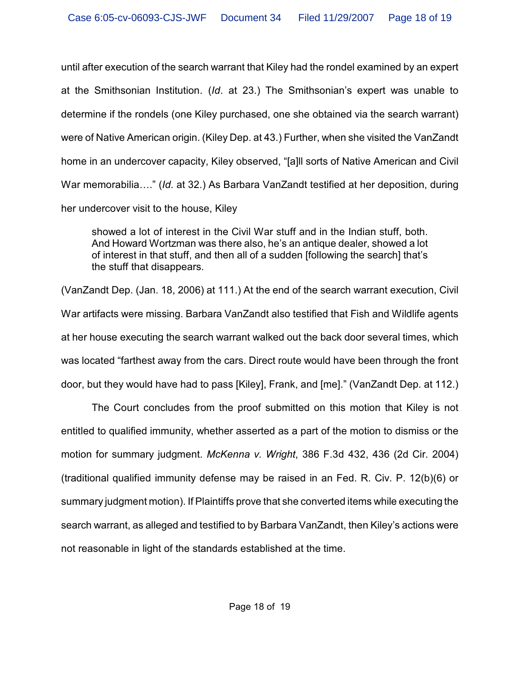until after execution of the search warrant that Kiley had the rondel examined by an expert at the Smithsonian Institution. (*Id*. at 23.) The Smithsonian's expert was unable to determine if the rondels (one Kiley purchased, one she obtained via the search warrant) were of Native American origin. (Kiley Dep. at 43.) Further, when she visited the VanZandt home in an undercover capacity, Kiley observed, "[a]ll sorts of Native American and Civil War memorabilia…." (*Id*. at 32.) As Barbara VanZandt testified at her deposition, during her undercover visit to the house, Kiley

showed a lot of interest in the Civil War stuff and in the Indian stuff, both. And Howard Wortzman was there also, he's an antique dealer, showed a lot of interest in that stuff, and then all of a sudden [following the search] that's the stuff that disappears.

(VanZandt Dep. (Jan. 18, 2006) at 111.) At the end of the search warrant execution, Civil War artifacts were missing. Barbara VanZandt also testified that Fish and Wildlife agents at her house executing the search warrant walked out the back door several times, which was located "farthest away from the cars. Direct route would have been through the front door, but they would have had to pass [Kiley], Frank, and [me]." (VanZandt Dep. at 112.)

The Court concludes from the proof submitted on this motion that Kiley is not entitled to qualified immunity, whether asserted as a part of the motion to dismiss or the motion for summary judgment. *McKenna v. Wright*, 386 F.3d 432, 436 (2d Cir. 2004) (traditional qualified immunity defense may be raised in an Fed. R. Civ. P. 12(b)(6) or summary judgment motion). If Plaintiffs prove that she converted items while executing the search warrant, as alleged and testified to by Barbara VanZandt, then Kiley's actions were not reasonable in light of the standards established at the time.